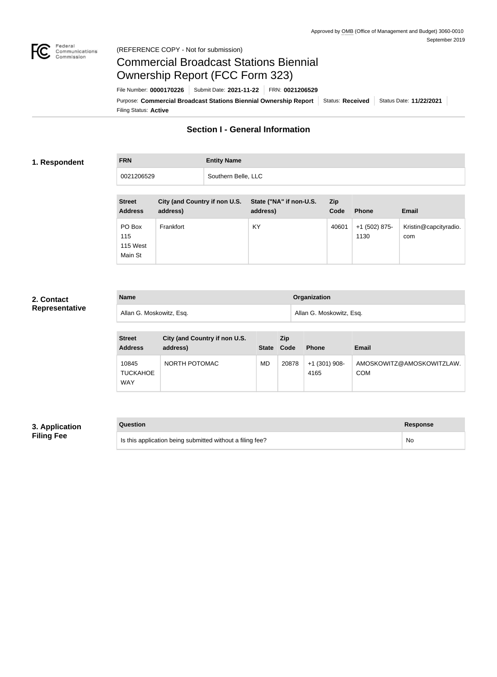

#### Federal<br>Communications<br>Commission (REFERENCE COPY - Not for submission)

# Commercial Broadcast Stations Biennial Ownership Report (FCC Form 323)

Filing Status: **Active** Purpose: Commercial Broadcast Stations Biennial Ownership Report Status: Received Status Date: 11/22/2021 File Number: **0000170226** Submit Date: **2021-11-22** FRN: **0021206529**

## **Section I - General Information**

#### **1. Respondent**

**FRN Entity Name** 0021206529 | Southern Belle, LLC

| <b>Street</b><br><b>Address</b>      | City (and Country if non U.S.<br>address) | State ("NA" if non-U.S.<br>address) | <b>Zip</b><br>Code | <b>Phone</b>            | <b>Email</b>                 |
|--------------------------------------|-------------------------------------------|-------------------------------------|--------------------|-------------------------|------------------------------|
| PO Box<br>115<br>115 West<br>Main St | Frankfort                                 | KY                                  | 40601              | $+1$ (502) 875-<br>1130 | Kristin@capcityradio.<br>com |

#### **2. Contact Representative**

| <b>Name</b>              | <b>Organization</b>      |
|--------------------------|--------------------------|
| Allan G. Moskowitz, Esq. | Allan G. Moskowitz, Esq. |

| <b>Street</b><br><b>Address</b>        | City (and Country if non U.S.<br>address) | <b>State</b> | <b>Zip</b><br>Code | <b>Phone</b>            | Email                                   |
|----------------------------------------|-------------------------------------------|--------------|--------------------|-------------------------|-----------------------------------------|
| 10845<br><b>TUCKAHOE</b><br><b>WAY</b> | NORTH POTOMAC                             | <b>MD</b>    | 20878              | $+1$ (301) 908-<br>4165 | AMOSKOWITZ@AMOSKOWITZLAW.<br><b>COM</b> |

### **3. Application Filing Fee**

| Question                                                  | Response |
|-----------------------------------------------------------|----------|
| Is this application being submitted without a filing fee? | No       |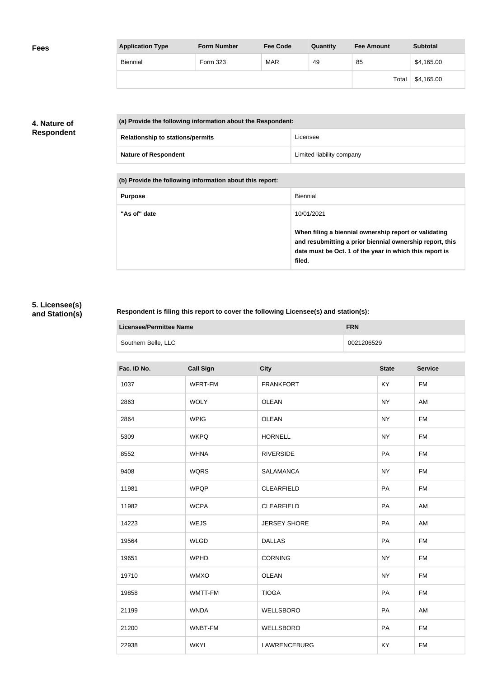| <b>Application Type</b> | <b>Form Number</b> | <b>Fee Code</b> | Quantity | <b>Fee Amount</b> | <b>Subtotal</b> |
|-------------------------|--------------------|-----------------|----------|-------------------|-----------------|
| <b>Biennial</b>         | Form 323           | <b>MAR</b>      | 49       | 85                | \$4,165.00      |
|                         |                    |                 |          | Total             | \$4,165.00      |

### **4. Nature of Respondent**

| (a) Provide the following information about the Respondent: |                           |  |
|-------------------------------------------------------------|---------------------------|--|
| <b>Relationship to stations/permits</b>                     | Licensee                  |  |
| <b>Nature of Respondent</b>                                 | Limited liability company |  |

**(b) Provide the following information about this report:**

| <b>Purpose</b> | <b>Biennial</b>                                                                                                                                                                        |
|----------------|----------------------------------------------------------------------------------------------------------------------------------------------------------------------------------------|
| "As of" date   | 10/01/2021                                                                                                                                                                             |
|                | When filing a biennial ownership report or validating<br>and resubmitting a prior biennial ownership report, this<br>date must be Oct. 1 of the year in which this report is<br>filed. |

## **5. Licensee(s) and Station(s)**

#### **Respondent is filing this report to cover the following Licensee(s) and station(s):**

| Licensee/Permittee Name | <b>FRN</b> |
|-------------------------|------------|
| Southern Belle, LLC     | 0021206529 |

| Fac. ID No. | <b>Call Sign</b> | <b>City</b>         | <b>State</b> | <b>Service</b> |
|-------------|------------------|---------------------|--------------|----------------|
| 1037        | WFRT-FM          | <b>FRANKFORT</b>    | KY           | <b>FM</b>      |
| 2863        | <b>WOLY</b>      | <b>OLEAN</b>        | <b>NY</b>    | AM             |
| 2864        | <b>WPIG</b>      | <b>OLEAN</b>        | <b>NY</b>    | <b>FM</b>      |
| 5309        | <b>WKPQ</b>      | <b>HORNELL</b>      | <b>NY</b>    | <b>FM</b>      |
| 8552        | <b>WHNA</b>      | <b>RIVERSIDE</b>    | PA           | <b>FM</b>      |
| 9408        | <b>WQRS</b>      | <b>SALAMANCA</b>    | <b>NY</b>    | <b>FM</b>      |
| 11981       | <b>WPQP</b>      | <b>CLEARFIELD</b>   | PA           | <b>FM</b>      |
| 11982       | <b>WCPA</b>      | <b>CLEARFIELD</b>   | PA           | AM             |
| 14223       | <b>WEJS</b>      | <b>JERSEY SHORE</b> | PA           | AM             |
| 19564       | <b>WLGD</b>      | <b>DALLAS</b>       | PA           | <b>FM</b>      |
| 19651       | <b>WPHD</b>      | <b>CORNING</b>      | <b>NY</b>    | <b>FM</b>      |
| 19710       | <b>WMXO</b>      | <b>OLEAN</b>        | <b>NY</b>    | <b>FM</b>      |
| 19858       | WMTT-FM          | <b>TIOGA</b>        | PA           | <b>FM</b>      |
| 21199       | <b>WNDA</b>      | WELLSBORO           | PA           | AM             |
| 21200       | WNBT-FM          | WELLSBORO           | PA           | <b>FM</b>      |
| 22938       | <b>WKYL</b>      | <b>LAWRENCEBURG</b> | KY           | <b>FM</b>      |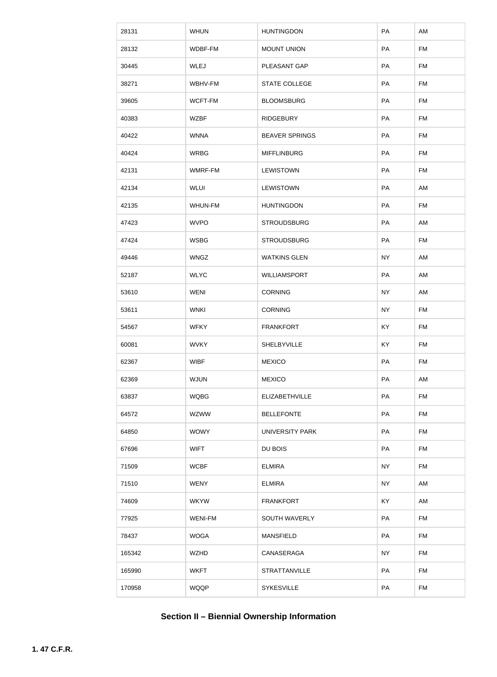| 28131  | <b>WHUN</b>    | <b>HUNTINGDON</b>      | PA        | AM        |
|--------|----------------|------------------------|-----------|-----------|
| 28132  | WDBF-FM        | <b>MOUNT UNION</b>     | PA        | <b>FM</b> |
| 30445  | WLEJ           | PLEASANT GAP           | PA        | FM        |
| 38271  | WBHV-FM        | <b>STATE COLLEGE</b>   | PA        | <b>FM</b> |
| 39605  | WCFT-FM        | <b>BLOOMSBURG</b>      | PA        | <b>FM</b> |
| 40383  | <b>WZBF</b>    | <b>RIDGEBURY</b>       | PA        | <b>FM</b> |
| 40422  | <b>WNNA</b>    | <b>BEAVER SPRINGS</b>  | PA        | <b>FM</b> |
| 40424  | <b>WRBG</b>    | <b>MIFFLINBURG</b>     | PA        | <b>FM</b> |
| 42131  | WMRF-FM        | <b>LEWISTOWN</b>       | PA        | FM        |
| 42134  | <b>WLUI</b>    | <b>LEWISTOWN</b>       | PA        | AM        |
| 42135  | WHUN-FM        | <b>HUNTINGDON</b>      | PA        | <b>FM</b> |
| 47423  | <b>WVPO</b>    | <b>STROUDSBURG</b>     | PA        | AM        |
| 47424  | <b>WSBG</b>    | <b>STROUDSBURG</b>     | PA        | FM        |
| 49446  | <b>WNGZ</b>    | <b>WATKINS GLEN</b>    | <b>NY</b> | AM        |
| 52187  | <b>WLYC</b>    | WILLIAMSPORT           | PA        | AM        |
| 53610  | <b>WENI</b>    | <b>CORNING</b>         | <b>NY</b> | AM        |
| 53611  | <b>WNKI</b>    | <b>CORNING</b>         | <b>NY</b> | <b>FM</b> |
| 54567  | <b>WFKY</b>    | <b>FRANKFORT</b>       | KY        | <b>FM</b> |
| 60081  | <b>WVKY</b>    | SHELBYVILLE            | KY        | <b>FM</b> |
| 62367  | <b>WIBF</b>    | <b>MEXICO</b>          | PA        | <b>FM</b> |
| 62369  | <b>WJUN</b>    | <b>MEXICO</b>          | PA        | AM        |
| 63837  | <b>WQBG</b>    | <b>ELIZABETHVILLE</b>  | PA        | <b>FM</b> |
| 64572  | <b>WZWW</b>    | <b>BELLEFONTE</b>      | PA        | <b>FM</b> |
| 64850  | <b>WOWY</b>    | <b>UNIVERSITY PARK</b> | PA        | <b>FM</b> |
| 67696  | <b>WIFT</b>    | DU BOIS                | PA        | <b>FM</b> |
| 71509  | <b>WCBF</b>    | <b>ELMIRA</b>          | <b>NY</b> | FM        |
| 71510  | <b>WENY</b>    | <b>ELMIRA</b>          | <b>NY</b> | AM        |
| 74609  | <b>WKYW</b>    | <b>FRANKFORT</b>       | KY        | AM        |
| 77925  | <b>WENI-FM</b> | SOUTH WAVERLY          | PA        | <b>FM</b> |
| 78437  | <b>WOGA</b>    | <b>MANSFIELD</b>       | PA        | <b>FM</b> |
| 165342 | <b>WZHD</b>    | CANASERAGA             | <b>NY</b> | <b>FM</b> |
| 165990 | <b>WKFT</b>    | <b>STRATTANVILLE</b>   | PA        | <b>FM</b> |
| 170958 | WQQP           | SYKESVILLE             | PA        | <b>FM</b> |

## **Section II – Biennial Ownership Information**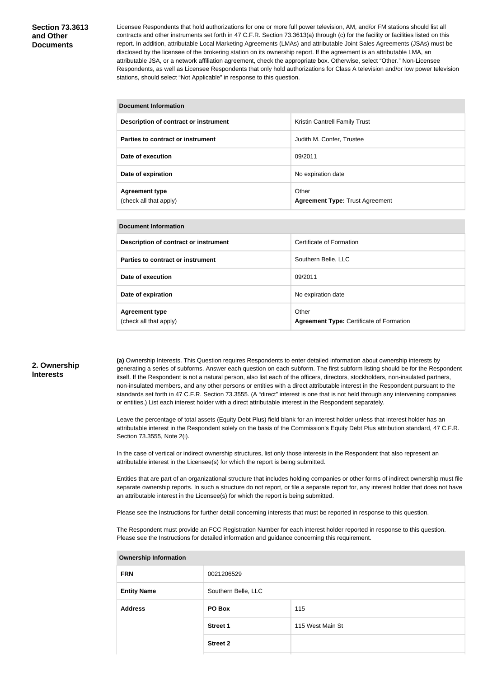#### **Section 73.3613 and Other Documents**

Licensee Respondents that hold authorizations for one or more full power television, AM, and/or FM stations should list all contracts and other instruments set forth in 47 C.F.R. Section 73.3613(a) through (c) for the facility or facilities listed on this report. In addition, attributable Local Marketing Agreements (LMAs) and attributable Joint Sales Agreements (JSAs) must be disclosed by the licensee of the brokering station on its ownership report. If the agreement is an attributable LMA, an attributable JSA, or a network affiliation agreement, check the appropriate box. Otherwise, select "Other." Non-Licensee Respondents, as well as Licensee Respondents that only hold authorizations for Class A television and/or low power television stations, should select "Not Applicable" in response to this question.

| <b>Document Information</b>                     |                                                 |  |  |
|-------------------------------------------------|-------------------------------------------------|--|--|
| Description of contract or instrument           | <b>Kristin Cantrell Family Trust</b>            |  |  |
| Parties to contract or instrument               | Judith M. Confer, Trustee                       |  |  |
| Date of execution                               | 09/2011                                         |  |  |
| Date of expiration                              | No expiration date                              |  |  |
| <b>Agreement type</b><br>(check all that apply) | Other<br><b>Agreement Type: Trust Agreement</b> |  |  |

#### **Document Information**

| Description of contract or instrument           | Certificate of Formation                                 |
|-------------------------------------------------|----------------------------------------------------------|
| Parties to contract or instrument               | Southern Belle, LLC                                      |
| Date of execution                               | 09/2011                                                  |
| Date of expiration                              | No expiration date                                       |
| <b>Agreement type</b><br>(check all that apply) | Other<br><b>Agreement Type: Certificate of Formation</b> |

#### **2. Ownership Interests**

**(a)** Ownership Interests. This Question requires Respondents to enter detailed information about ownership interests by generating a series of subforms. Answer each question on each subform. The first subform listing should be for the Respondent itself. If the Respondent is not a natural person, also list each of the officers, directors, stockholders, non-insulated partners, non-insulated members, and any other persons or entities with a direct attributable interest in the Respondent pursuant to the standards set forth in 47 C.F.R. Section 73.3555. (A "direct" interest is one that is not held through any intervening companies or entities.) List each interest holder with a direct attributable interest in the Respondent separately.

Leave the percentage of total assets (Equity Debt Plus) field blank for an interest holder unless that interest holder has an attributable interest in the Respondent solely on the basis of the Commission's Equity Debt Plus attribution standard, 47 C.F.R. Section 73.3555, Note 2(i).

In the case of vertical or indirect ownership structures, list only those interests in the Respondent that also represent an attributable interest in the Licensee(s) for which the report is being submitted.

Entities that are part of an organizational structure that includes holding companies or other forms of indirect ownership must file separate ownership reports. In such a structure do not report, or file a separate report for, any interest holder that does not have an attributable interest in the Licensee(s) for which the report is being submitted.

Please see the Instructions for further detail concerning interests that must be reported in response to this question.

The Respondent must provide an FCC Registration Number for each interest holder reported in response to this question. Please see the Instructions for detailed information and guidance concerning this requirement.

| <b>FRN</b>         | 0021206529          |                  |
|--------------------|---------------------|------------------|
| <b>Entity Name</b> | Southern Belle, LLC |                  |
| <b>Address</b>     | <b>PO Box</b>       | 115              |
|                    | <b>Street 1</b>     | 115 West Main St |
|                    | <b>Street 2</b>     |                  |
|                    |                     |                  |

#### **Ownership Information**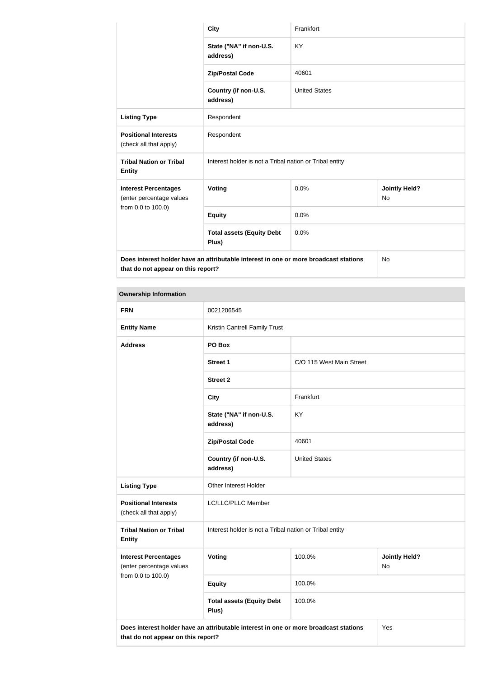|                                                                                      | <b>City</b>                                             | Frankfort            |                                   |
|--------------------------------------------------------------------------------------|---------------------------------------------------------|----------------------|-----------------------------------|
|                                                                                      | State ("NA" if non-U.S.<br>address)                     | KY                   |                                   |
|                                                                                      | <b>Zip/Postal Code</b>                                  | 40601                |                                   |
|                                                                                      | Country (if non-U.S.<br>address)                        | <b>United States</b> |                                   |
| <b>Listing Type</b>                                                                  | Respondent                                              |                      |                                   |
| <b>Positional Interests</b><br>(check all that apply)                                | Respondent                                              |                      |                                   |
| <b>Tribal Nation or Tribal</b><br><b>Entity</b>                                      | Interest holder is not a Tribal nation or Tribal entity |                      |                                   |
| <b>Interest Percentages</b><br>(enter percentage values                              | Voting                                                  | 0.0%                 | <b>Jointly Held?</b><br><b>No</b> |
| from 0.0 to 100.0)                                                                   | <b>Equity</b>                                           | 0.0%                 |                                   |
|                                                                                      | <b>Total assets (Equity Debt</b><br>Plus)               | 0.0%                 |                                   |
| Does interest holder have an attributable interest in one or more broadcast stations |                                                         | No                   |                                   |

**that do not appear on this report?**

| <b>FRN</b>                                              | 0021206545                                                                                  |                          |                            |
|---------------------------------------------------------|---------------------------------------------------------------------------------------------|--------------------------|----------------------------|
| <b>Entity Name</b>                                      | Kristin Cantrell Family Trust                                                               |                          |                            |
| <b>Address</b>                                          | PO Box                                                                                      |                          |                            |
|                                                         | <b>Street 1</b>                                                                             | C/O 115 West Main Street |                            |
|                                                         | <b>Street 2</b>                                                                             |                          |                            |
|                                                         | <b>City</b>                                                                                 | Frankfurt                |                            |
|                                                         | State ("NA" if non-U.S.<br>address)                                                         | <b>KY</b>                |                            |
|                                                         | <b>Zip/Postal Code</b>                                                                      | 40601                    |                            |
|                                                         | Country (if non-U.S.<br>address)                                                            | <b>United States</b>     |                            |
| <b>Listing Type</b>                                     | Other Interest Holder                                                                       |                          |                            |
| <b>Positional Interests</b><br>(check all that apply)   | LC/LLC/PLLC Member                                                                          |                          |                            |
| <b>Tribal Nation or Tribal</b><br><b>Entity</b>         | Interest holder is not a Tribal nation or Tribal entity                                     |                          |                            |
| <b>Interest Percentages</b><br>(enter percentage values | Voting                                                                                      | 100.0%                   | <b>Jointly Held?</b><br>No |
| from 0.0 to 100.0)                                      | <b>Equity</b>                                                                               | 100.0%                   |                            |
|                                                         | <b>Total assets (Equity Debt</b><br>Plus)                                                   | 100.0%                   |                            |
| that do not appear on this report?                      | Does interest holder have an attributable interest in one or more broadcast stations<br>Yes |                          |                            |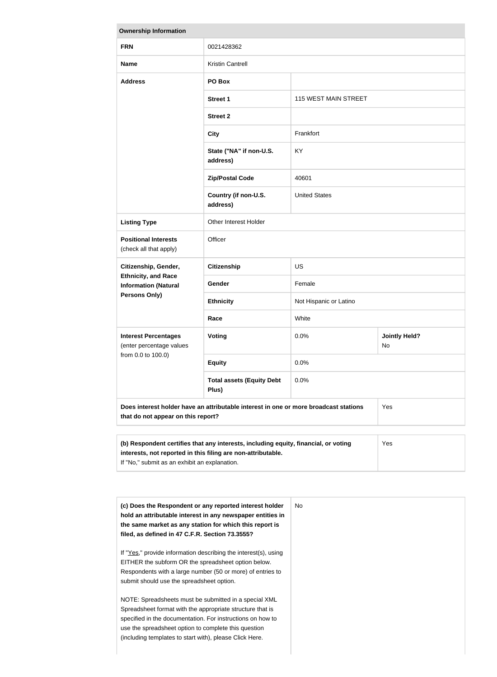| <b>Ownership Information</b>                                                                              |                                                                                      |                             |                            |
|-----------------------------------------------------------------------------------------------------------|--------------------------------------------------------------------------------------|-----------------------------|----------------------------|
| <b>FRN</b>                                                                                                | 0021428362                                                                           |                             |                            |
| <b>Name</b>                                                                                               | <b>Kristin Cantrell</b>                                                              |                             |                            |
| <b>Address</b>                                                                                            | PO Box                                                                               |                             |                            |
|                                                                                                           | <b>Street 1</b>                                                                      | <b>115 WEST MAIN STREET</b> |                            |
|                                                                                                           | <b>Street 2</b>                                                                      |                             |                            |
|                                                                                                           | <b>City</b>                                                                          | Frankfort                   |                            |
|                                                                                                           | State ("NA" if non-U.S.<br>address)                                                  | <b>KY</b>                   |                            |
|                                                                                                           | <b>Zip/Postal Code</b>                                                               | 40601                       |                            |
|                                                                                                           | Country (if non-U.S.<br>address)                                                     | <b>United States</b>        |                            |
| <b>Listing Type</b>                                                                                       | Other Interest Holder                                                                |                             |                            |
| <b>Positional Interests</b><br>(check all that apply)                                                     | Officer                                                                              |                             |                            |
| Citizenship, Gender,<br><b>Ethnicity, and Race</b><br><b>Information (Natural</b><br><b>Persons Only)</b> | <b>Citizenship</b>                                                                   | <b>US</b>                   |                            |
|                                                                                                           | Gender                                                                               | Female                      |                            |
|                                                                                                           | <b>Ethnicity</b>                                                                     | Not Hispanic or Latino      |                            |
|                                                                                                           | Race                                                                                 | White                       |                            |
| <b>Interest Percentages</b><br>(enter percentage values<br>from 0.0 to 100.0)                             | <b>Voting</b>                                                                        | 0.0%                        | <b>Jointly Held?</b><br>No |
|                                                                                                           | <b>Equity</b>                                                                        | 0.0%                        |                            |
|                                                                                                           | <b>Total assets (Equity Debt</b><br>Plus)                                            | 0.0%                        |                            |
| that do not appear on this report?                                                                        | Does interest holder have an attributable interest in one or more broadcast stations |                             | Yes                        |
|                                                                                                           |                                                                                      |                             |                            |

| (b) Respondent certifies that any interests, including equity, financial, or voting | <b>Yes</b> |
|-------------------------------------------------------------------------------------|------------|
| interests, not reported in this filing are non-attributable.                        |            |
| If "No," submit as an exhibit an explanation.                                       |            |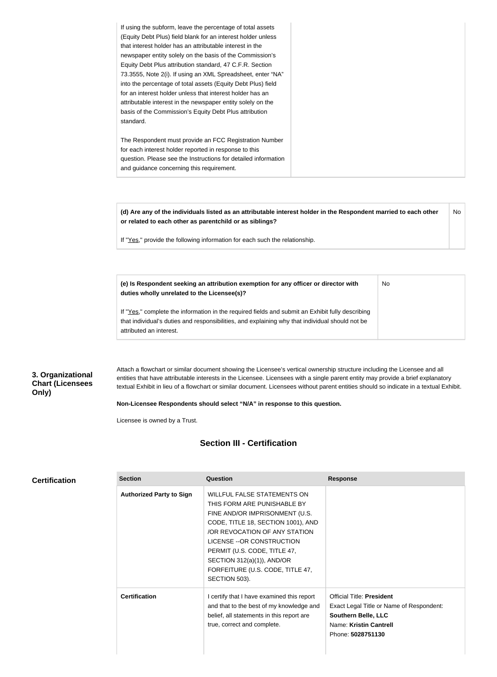| for an interest holder unless that interest holder has an   | basis of the Commission's Equity Debt Plus attribution |
|-------------------------------------------------------------|--------------------------------------------------------|
| attributable interest in the newspaper entity solely on the | standard.                                              |

**(d) Are any of the individuals listed as an attributable interest holder in the Respondent married to each other or related to each other as parentchild or as siblings?** No

No

If "Yes," provide the following information for each such the relationship.

**(e) Is Respondent seeking an attribution exemption for any officer or director with duties wholly unrelated to the Licensee(s)?**

If "Yes," complete the information in the required fields and submit an Exhibit fully describing that individual's duties and responsibilities, and explaining why that individual should not be attributed an interest.

#### **3. Organizational Chart (Licensees Only)**

Attach a flowchart or similar document showing the Licensee's vertical ownership structure including the Licensee and all entities that have attributable interests in the Licensee. Licensees with a single parent entity may provide a brief explanatory textual Exhibit in lieu of a flowchart or similar document. Licensees without parent entities should so indicate in a textual Exhibit.

**Non-Licensee Respondents should select "N/A" in response to this question.**

Licensee is owned by a Trust.

#### **Section III - Certification**

|  |  |  | <b>Certification</b> |  |
|--|--|--|----------------------|--|
|--|--|--|----------------------|--|

| <b>Section</b>                  | Question                                                                                                                                                                                                                                                                                                                       | <b>Response</b>                                                                                                                                           |
|---------------------------------|--------------------------------------------------------------------------------------------------------------------------------------------------------------------------------------------------------------------------------------------------------------------------------------------------------------------------------|-----------------------------------------------------------------------------------------------------------------------------------------------------------|
| <b>Authorized Party to Sign</b> | <b>WILLFUL FALSE STATEMENTS ON</b><br>THIS FORM ARE PUNISHABLE BY<br>FINE AND/OR IMPRISONMENT (U.S.<br>CODE, TITLE 18, SECTION 1001), AND<br>/OR REVOCATION OF ANY STATION<br>LICENSE -- OR CONSTRUCTION<br>PERMIT (U.S. CODE, TITLE 47,<br>SECTION $312(a)(1)$ ), AND/OR<br>FORFEITURE (U.S. CODE, TITLE 47,<br>SECTION 503). |                                                                                                                                                           |
| <b>Certification</b>            | I certify that I have examined this report<br>and that to the best of my knowledge and<br>belief, all statements in this report are<br>true, correct and complete.                                                                                                                                                             | <b>Official Title: President</b><br>Exact Legal Title or Name of Respondent:<br><b>Southern Belle, LLC</b><br>Name: Kristin Cantrell<br>Phone: 5028751130 |